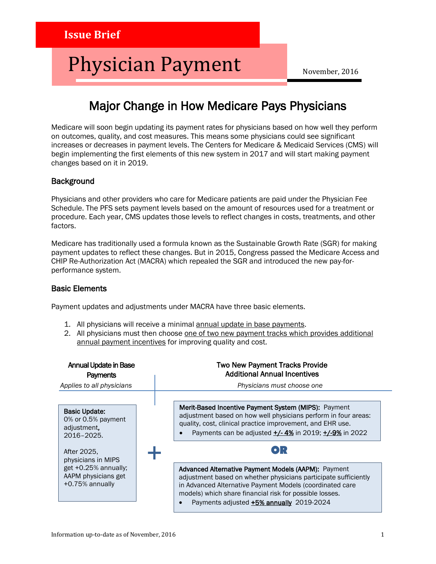# Physician Payment

November, 2016

## Major Change in How Medicare Pays Physicians

Medicare will soon begin updating its payment rates for physicians based on how well they perform on outcomes, quality, and cost measures. This means some physicians could see significant increases or decreases in payment levels. The Centers for Medicare & Medicaid Services (CMS) will begin implementing the first elements of this new system in 2017 and will start making payment changes based on it in 2019.

#### **Background**

Physicians and other providers who care for Medicare patients are paid under the Physician Fee Schedule. The PFS sets payment levels based on the amount of resources used for a treatment or procedure. Each year, CMS updates those levels to reflect changes in costs, treatments, and other factors.

Medicare has traditionally used a formula known as the Sustainable Growth Rate (SGR) for making payment updates to reflect these changes. But in 2015, Congress passed the Medicare Access and CHIP Re-Authorization Act (MACRA) which repealed the SGR and introduced the new pay-forperformance system.

#### Basic Elements

Payment updates and adjustments under MACRA have three basic elements.

- 1. All physicians will receive a minimal annual update in base payments.
- 2. All physicians must then choose one of two new payment tracks which provides additional annual payment incentives for improving quality and cost.

| <b>Annual Update in Base</b><br>Payments                                                                     | <b>Two New Payment Tracks Provide</b><br><b>Additional Annual Incentives</b>                                                                                                                                                                                                                     |
|--------------------------------------------------------------------------------------------------------------|--------------------------------------------------------------------------------------------------------------------------------------------------------------------------------------------------------------------------------------------------------------------------------------------------|
| Applies to all physicians                                                                                    | Physicians must choose one                                                                                                                                                                                                                                                                       |
| <b>Basic Update:</b><br>0% or 0.5% payment<br>adjustment.<br>2016-2025.<br>After 2025,<br>physicians in MIPS | Merit-Based Incentive Payment System (MIPS): Payment<br>adjustment based on how well physicians perform in four areas:<br>quality, cost, clinical practice improvement, and EHR use.<br>Payments can be adjusted $\frac{+}{-}$ 4% in 2019; $\frac{+}{-}$ 9% in 2022<br>$\bullet$ ) : .           |
| get +0.25% annually;<br>AAPM physicians get<br>+0.75% annually                                               | Advanced Alternative Payment Models (AAPM): Payment<br>adjustment based on whether physicians participate sufficiently<br>in Advanced Alternative Payment Models (coordinated care<br>models) which share financial risk for possible losses.<br>Payments adjusted <b>+5% annually</b> 2019-2024 |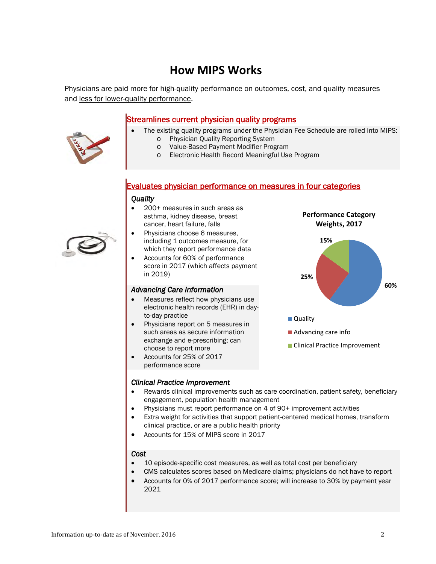## **How MIPS Works**

Physicians are paid more for high-quality performance on outcomes, cost, and quality measures and less for lower-quality performance.

#### Streamlines current physician quality programs

- The existing quality programs under the Physician Fee Schedule are rolled into MIPS: o Physician Quality Reporting System
	- o Value-Based Payment Modifier Program
	- o Electronic Health Record Meaningful Use Program

#### Evaluates physician performance on measures in four categories

#### *Quality*

- 200+ measures in such areas as asthma, kidney disease, breast cancer, heart failure, falls
- Physicians choose 6 measures, including 1 outcomes measure, for which they report performance data
- Accounts for 60% of performance score in 2017 (which affects payment in 2019)

#### *Advancing Care Information*

- Measures reflect how physicians use electronic health records (EHR) in dayto-day practice
- Physicians report on 5 measures in such areas as secure information exchange and e-prescribing; can choose to report more
- Accounts for 25% of 2017 performance score



**Quality** 

■ Advancing care info

**Clinical Practice Improvement** 

#### *Clinical Practice Improvement*

- Rewards clinical improvements such as care coordination, patient safety, beneficiary engagement, population health management
- Physicians must report performance on 4 of 90+ improvement activities
- Extra weight for activities that support patient-centered medical homes, transform clinical practice, or are a public health priority
- Accounts for 15% of MIPS score in 2017

#### *Cost*

- 10 episode-specific cost measures, as well as total cost per beneficiary
- CMS calculates scores based on Medicare claims; physicians do not have to report
- Accounts for 0% of 2017 performance score; will increase to 30% by payment year 2021



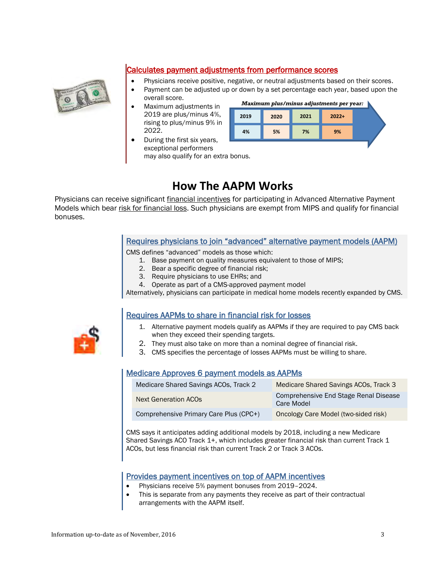

### Calculates payment adjustments from performance scores

- Physicians receive positive, negative, or neutral adjustments based on their scores.
- Payment can be adjusted up or down by a set percentage each year, based upon the
- overall score.
- Maximum adjustments in 2019 are plus/minus 4%, rising to plus/minus 9% in 2022.



 During the first six years, exceptional performers may also qualify for an extra bonus.

## **How The AAPM Works**

Physicians can receive significant financial incentives for participating in Advanced Alternative Payment Models which bear risk for financial loss. Such physicians are exempt from MIPS and qualify for financial bonuses.

#### Requires physicians to join "advanced" alternative payment models (AAPM)

CMS defines "advanced" models as those which:

- 1. Base payment on quality measures equivalent to those of MIPS;
- 2. Bear a specific degree of financial risk;
- 3. Require physicians to use EHRs; and
- 4. Operate as part of a CMS-approved payment model

Alternatively, physicians can participate in medical home models recently expanded by CMS.

### Requires AAPMs to share in financial risk for losses

- 1. Alternative payment models qualify as AAPMs if they are required to pay CMS back when they exceed their spending targets.
- 2. They must also take on more than a nominal degree of financial risk.
- 3. CMS specifies the percentage of losses AAPMs must be willing to share.

### Medicare Approves 6 payment models as AAPMs

| Medicare Shared Savings ACOs, Track 2  | Medicare Shared Savings ACOs, Track 3               |
|----------------------------------------|-----------------------------------------------------|
| <b>Next Generation ACOs</b>            | Comprehensive End Stage Renal Disease<br>Care Model |
| Comprehensive Primary Care Plus (CPC+) | Oncology Care Model (two-sided risk)                |

CMS says it anticipates adding additional models by 2018, including a new Medicare Shared Savings ACO Track 1+, which includes greater financial risk than current Track 1 ACOs, but less financial risk than current Track 2 or Track 3 ACOs.

#### Provides payment incentives on top of AAPM incentives

- Physicians receive 5% payment bonuses from 2019–2024.
- This is separate from any payments they receive as part of their contractual arrangements with the AAPM itself.